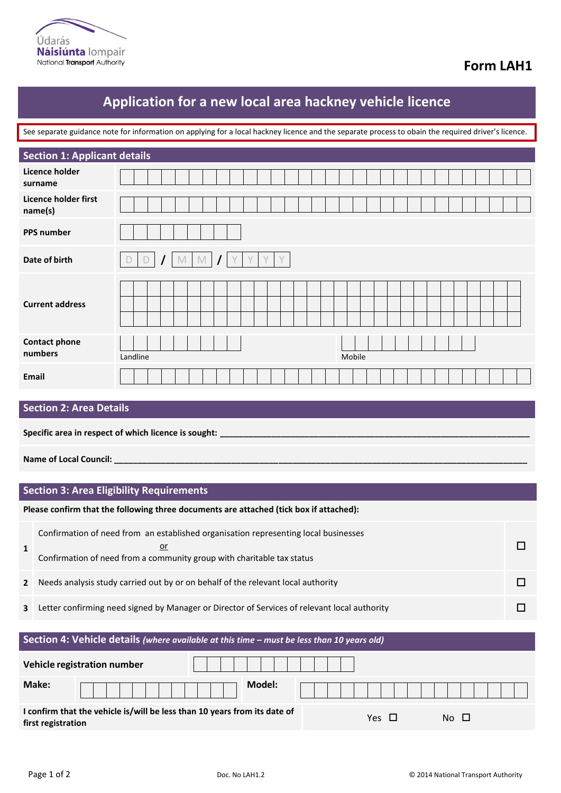

## **Form LAH1**

# **Application for a new local area hackney vehicle licence**

See separate guidance note for information on applying for a local hackney licence and the separate process to obain the required driver's licence.

| <b>Section 1: Applicant details</b> |                                                    |  |  |  |  |  |  |  |  |
|-------------------------------------|----------------------------------------------------|--|--|--|--|--|--|--|--|
| <b>Licence holder</b><br>surname    |                                                    |  |  |  |  |  |  |  |  |
| Licence holder first<br>name(s)     |                                                    |  |  |  |  |  |  |  |  |
| <b>PPS number</b>                   |                                                    |  |  |  |  |  |  |  |  |
| Date of birth                       | $\prime$<br>Y<br>Y.<br>Y<br>D<br>$M$ $M$<br>Y<br>D |  |  |  |  |  |  |  |  |
| <b>Current address</b>              |                                                    |  |  |  |  |  |  |  |  |
| <b>Contact phone</b><br>numbers     | Landline<br>Mobile                                 |  |  |  |  |  |  |  |  |
| Email                               |                                                    |  |  |  |  |  |  |  |  |

### **Section 2: Area Details**

| Specific area in respect of which licence is sought: |  |  |  |  |  |  |
|------------------------------------------------------|--|--|--|--|--|--|
| Name of Local Council:                               |  |  |  |  |  |  |

|  |  | Section 3: Area Eligibility Requirements |
|--|--|------------------------------------------|
|--|--|------------------------------------------|

| Please confirm that the following three documents are attached (tick box if attached): |                                                                                                                                                                     |  |  |  |  |  |  |
|----------------------------------------------------------------------------------------|---------------------------------------------------------------------------------------------------------------------------------------------------------------------|--|--|--|--|--|--|
| 1                                                                                      | Confirmation of need from an established organisation representing local businesses<br>or<br>Confirmation of need from a community group with charitable tax status |  |  |  |  |  |  |
| $\mathbf{2}$                                                                           | Needs analysis study carried out by or on behalf of the relevant local authority                                                                                    |  |  |  |  |  |  |
| $\mathbf{3}$                                                                           | Letter confirming need signed by Manager or Director of Services of relevant local authority                                                                        |  |  |  |  |  |  |
|                                                                                        | Section 4: Vehicle details (where available at this time - must be less than 10 years old)                                                                          |  |  |  |  |  |  |
| Vehicle registration number                                                            |                                                                                                                                                                     |  |  |  |  |  |  |
|                                                                                        | Make:<br>Model:                                                                                                                                                     |  |  |  |  |  |  |